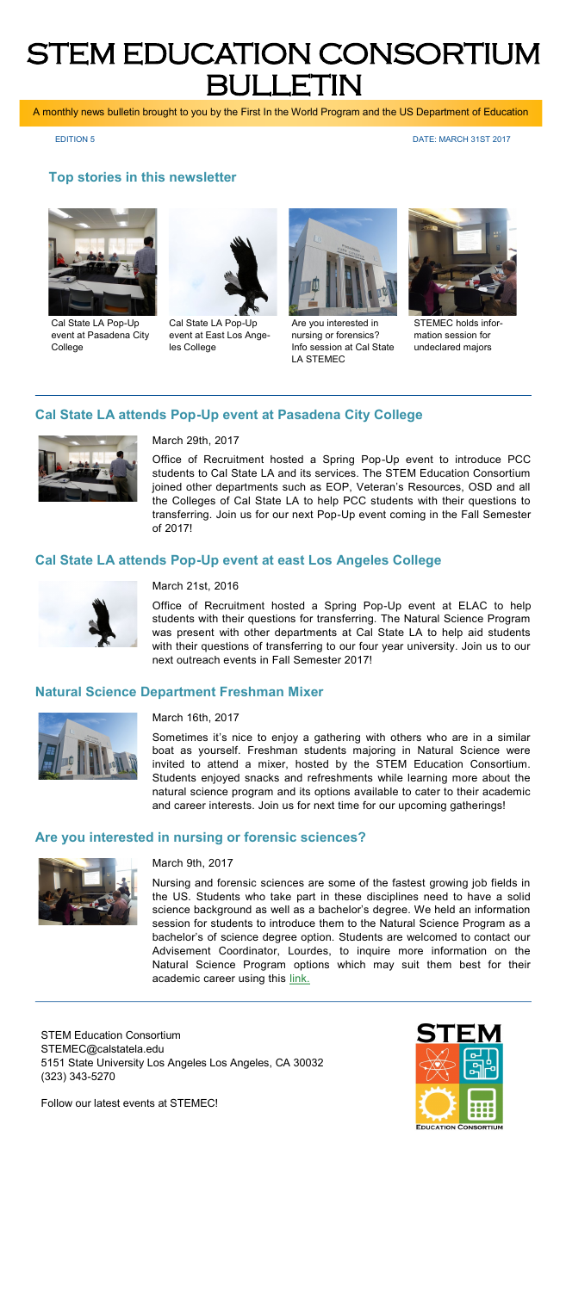# STEM EDUCATION CONSORTIUM BULLETIN

A monthly news bulletin brought to you by the First In the World Program and the US Department of Education

EDITION 5 DATE: MARCH 31ST 2017

## **Top stories in this newsletter**



Cal State LA Pop-Up event at Pasadena City College



Cal State LA Pop-Up event at East Los Angeles College



Are you interested in nursing or forensics? Info session at Cal State LA STEMEC



STEMEC holds information session for undeclared majors

# **Cal State LA attends Pop-Up event at Pasadena City College**



### March 29th, 2017

Office of Recruitment hosted a Spring Pop-Up event to introduce PCC students to Cal State LA and its services. The STEM Education Consortium joined other departments such as EOP, Veteran's Resources, OSD and all the Colleges of Cal State LA to help PCC students with their questions to transferring. Join us for our next Pop-Up event coming in the Fall Semester of 2017!

### **Cal State LA attends Pop-Up event at east Los Angeles College**



### March 21st, 2016

Office of Recruitment hosted a Spring Pop-Up event at ELAC to help students with their questions for transferring. The Natural Science Program was present with other departments at Cal State LA to help aid students with their questions of transferring to our four year university. Join us to our next outreach events in Fall Semester 2017!

#### **Natural Science Department Freshman Mixer**



#### March 16th, 2017

Sometimes it's nice to enjoy a gathering with others who are in a similar boat as yourself. Freshman students majoring in Natural Science were invited to attend a mixer, hosted by the STEM Education Consortium. Students enjoyed snacks and refreshments while learning more about the natural science program and its options available to cater to their academic and career interests. Join us for next time for our upcoming gatherings!

#### **Are you interested in nursing or forensic sciences?**



#### March 9th, 2017

Nursing and forensic sciences are some of the fastest growing job fields in the US. Students who take part in these disciplines need to have a solid science background as well as a bachelor's degree. We held an information session for students to introduce them to the Natural Science Program as a bachelor's of science degree option. Students are welcomed to contact our Advisement Coordinator, Lourdes, to inquire more information on the Natural Science Program options which may suit them best for their academic career using this [link.](https://www.calstatela.edu/programs/STEMEC/contact-advisor)

STEM Education Consortium STEMEC@calstatela.edu 5151 State University Los Angeles Los Angeles, CA 30032 (323) 343-5270

Follow our latest events at STEMEC!